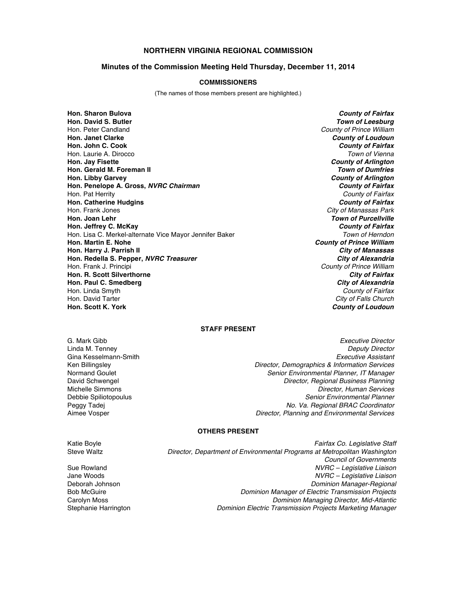# **NORTHERN VIRGINIA REGIONAL COMMISSION**

#### **Minutes of the Commission Meeting Held Thursday, December 11, 2014**

### **COMMISSIONERS**

(The names of those members present are highlighted.)

**Hon. Sharon Bulova** *County of Fairfax* **Hon. David S. Butler** *Town of Leesburg* Hon. Peter Candland *County of Prince William* **Hon. Janet Clarke** *County of Loudoun* **Hon. John C. Cook** *County of Fairfax* Hon. Laurie A. Dirocco *Town of Vienna* **Hon. Jay Fisette** *County of Arlington* **Hon. Gerald M. Foreman II** *Town of Dumfries* **Hon. Libby Garvey** *County of Arlington* **Hon. Penelope A. Gross,** *NVRC Chairman County of Fairfax* Hon. Pat Herrity *County of Fairfax* **Hon. Catherine Hudgins** *County of Fairfax* Hon. Frank Jones *City of Manassas Park* **Hon. Joan Lehr** *Town of Purcellville* **Hon. Jeffrey C. McKay County of Fairfax**<br>Hon. Lisa C. Merkel-alternate Vice Mavor Jennifer Baker *COUNTER STOWN of Herndon* Hon. Lisa C. Merkel-alternate Vice Mayor Jennifer Baker<br>**Hon. Martin E. Nohe Hon. Harry J. Parrish II** *City of Manassas* **Hon. Redella S. Pepper,** *NVRC Treasurer* Hon. Frank J. Principi *County of Prince William* **Hon. R. Scott Silverthorne** *City of Fairfax* **Hon. Paul C. Smedberg** *City of Alexandria* Hon. Linda Smyth *County of Fairfax* Hon. David Tarter *City of Falls Church*

**County of Prince William County of Loudoun** 

## **STAFF PRESENT**

Gina Kesselmann-Smith

G. Mark Gibb *Executive Director* Linda M. Tenney *Deputy Director* Ken Billingsley *Director, Demographics & Information Services* Senior Environmental Planner, IT Manager David Schwengel *Director, Regional Business Planning* Michelle Simmons *Director, Human Services* Debbie Spiliotopoulus *Senior Environmental Planner* Peggy Tadej *No. Va. Regional BRAC Coordinator* **Director, Planning and Environmental Services** 

### **OTHERS PRESENT**

Katie Boyle *Fairfax Co. Legislative Staff* Steve Waltz *Director, Department of Environmental Programs at Metropolitan Washington Council of Governments* Sue Rowland *NVRC – Legislative Liaison* Jane Woods *NVRC – Legislative Liaison* Deborah Johnson *Dominion Manager-Regional* Bob McGuire *Dominion Manager of Electric Transmission Projects* Carolyn Moss *Dominion Managing Director, Mid-Atlantic* **Dominion Electric Transmission Projects Marketing Manager**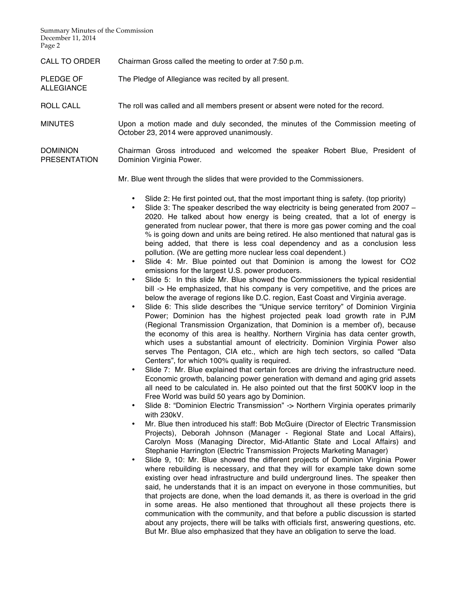Summary Minutes of the Commission December 11, 2014 Page 2

ALLEGIANCE

CALL TO ORDER Chairman Gross called the meeting to order at 7:50 p.m.

PLEDGE OF The Pledge of Allegiance was recited by all present.

ROLL CALL The roll was called and all members present or absent were noted for the record.

MINUTES Upon a motion made and duly seconded, the minutes of the Commission meeting of October 23, 2014 were approved unanimously.

DOMINION PRESENTATION Chairman Gross introduced and welcomed the speaker Robert Blue, President of Dominion Virginia Power.

Mr. Blue went through the slides that were provided to the Commissioners.

- Slide 2: He first pointed out, that the most important thing is safety. (top priority)
- Slide 3: The speaker described the way electricity is being generated from 2007 2020. He talked about how energy is being created, that a lot of energy is generated from nuclear power, that there is more gas power coming and the coal % is going down and units are being retired. He also mentioned that natural gas is being added, that there is less coal dependency and as a conclusion less pollution. (We are getting more nuclear less coal dependent.)
- Slide 4: Mr. Blue pointed out that Dominion is among the lowest for CO2 emissions for the largest U.S. power producers.
- Slide 5: In this slide Mr. Blue showed the Commissioners the typical residential bill -> He emphasized, that his company is very competitive, and the prices are below the average of regions like D.C. region, East Coast and Virginia average.
- Slide 6: This slide describes the "Unique service territory" of Dominion Virginia Power; Dominion has the highest projected peak load growth rate in PJM (Regional Transmission Organization, that Dominion is a member of), because the economy of this area is healthy. Northern Virginia has data center growth, which uses a substantial amount of electricity. Dominion Virginia Power also serves The Pentagon, CIA etc., which are high tech sectors, so called "Data Centers", for which 100% quality is required.
- Slide 7: Mr. Blue explained that certain forces are driving the infrastructure need. Economic growth, balancing power generation with demand and aging grid assets all need to be calculated in. He also pointed out that the first 500KV loop in the Free World was build 50 years ago by Dominion.
- Slide 8: "Dominion Electric Transmission" -> Northern Virginia operates primarily with 230kV.
- Mr. Blue then introduced his staff: Bob McGuire (Director of Electric Transmission Projects), Deborah Johnson (Manager - Regional State and Local Affairs), Carolyn Moss (Managing Director, Mid-Atlantic State and Local Affairs) and Stephanie Harrington (Electric Transmission Projects Marketing Manager)
- Slide 9, 10: Mr. Blue showed the different projects of Dominion Virginia Power where rebuilding is necessary, and that they will for example take down some existing over head infrastructure and build underground lines. The speaker then said, he understands that it is an impact on everyone in those communities, but that projects are done, when the load demands it, as there is overload in the grid in some areas. He also mentioned that throughout all these projects there is communication with the community, and that before a public discussion is started about any projects, there will be talks with officials first, answering questions, etc. But Mr. Blue also emphasized that they have an obligation to serve the load.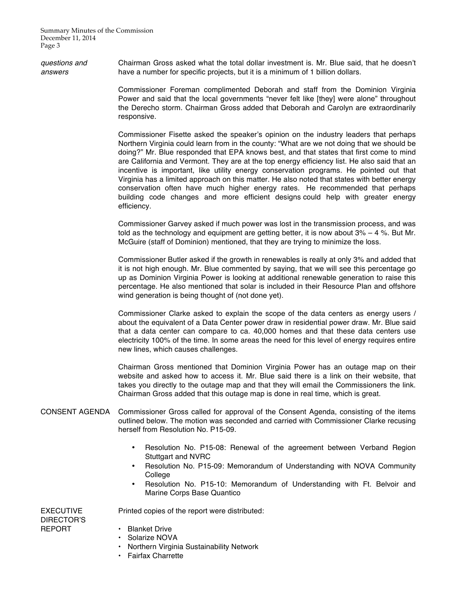Summary Minutes of the Commission December 11, 2014 Page 3

*questions and answers* Chairman Gross asked what the total dollar investment is. Mr. Blue said, that he doesn't have a number for specific projects, but it is a minimum of 1 billion dollars.

> Commissioner Foreman complimented Deborah and staff from the Dominion Virginia Power and said that the local governments "never felt like [they] were alone" throughout the Derecho storm. Chairman Gross added that Deborah and Carolyn are extraordinarily responsive.

> Commissioner Fisette asked the speaker's opinion on the industry leaders that perhaps Northern Virginia could learn from in the county: "What are we not doing that we should be doing?" Mr. Blue responded that EPA knows best, and that states that first come to mind are California and Vermont. They are at the top energy efficiency list. He also said that an incentive is important, like utility energy conservation programs. He pointed out that Virginia has a limited approach on this matter. He also noted that states with better energy conservation often have much higher energy rates. He recommended that perhaps building code changes and more efficient designs could help with greater energy efficiency.

> Commissioner Garvey asked if much power was lost in the transmission process, and was told as the technology and equipment are getting better, it is now about 3% – 4 %. But Mr. McGuire (staff of Dominion) mentioned, that they are trying to minimize the loss.

> Commissioner Butler asked if the growth in renewables is really at only 3% and added that it is not high enough. Mr. Blue commented by saying, that we will see this percentage go up as Dominion Virginia Power is looking at additional renewable generation to raise this percentage. He also mentioned that solar is included in their Resource Plan and offshore wind generation is being thought of (not done yet).

> Commissioner Clarke asked to explain the scope of the data centers as energy users / about the equivalent of a Data Center power draw in residential power draw. Mr. Blue said that a data center can compare to ca. 40,000 homes and that these data centers use electricity 100% of the time. In some areas the need for this level of energy requires entire new lines, which causes challenges.

> Chairman Gross mentioned that Dominion Virginia Power has an outage map on their website and asked how to access it. Mr. Blue said there is a link on their website, that takes you directly to the outage map and that they will email the Commissioners the link. Chairman Gross added that this outage map is done in real time, which is great.

- CONSENT AGENDA Commissioner Gross called for approval of the Consent Agenda, consisting of the items outlined below. The motion was seconded and carried with Commissioner Clarke recusing herself from Resolution No. P15-09.
	- Resolution No. P15-08: Renewal of the agreement between Verband Region Stuttgart and NVRC
	- Resolution No. P15-09: Memorandum of Understanding with NOVA Community College
	- Resolution No. P15-10: Memorandum of Understanding with Ft. Belvoir and Marine Corps Base Quantico

EXECUTIVE DIRECTOR'S REPORT

# • Blanket Drive

- Solarize NOVA
- Northern Virginia Sustainability Network

Printed copies of the report were distributed:

• Fairfax Charrette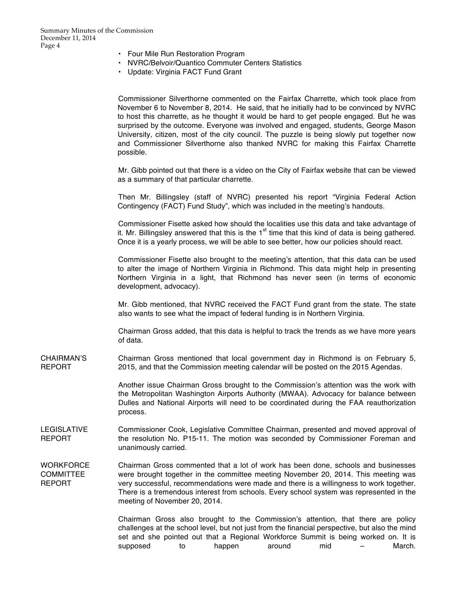- Four Mile Run Restoration Program
- NVRC/Belvoir/Quantico Commuter Centers Statistics
- Update: Virginia FACT Fund Grant

|                                         | Commissioner Silverthorne commented on the Fairfax Charrette, which took place from<br>November 6 to November 8, 2014. He said, that he initially had to be convinced by NVRC<br>to host this charrette, as he thought it would be hard to get people engaged. But he was<br>surprised by the outcome. Everyone was involved and engaged, students, George Mason<br>University, citizen, most of the city council. The puzzle is being slowly put together now<br>and Commissioner Silverthorne also thanked NVRC for making this Fairfax Charrette<br>possible. |
|-----------------------------------------|------------------------------------------------------------------------------------------------------------------------------------------------------------------------------------------------------------------------------------------------------------------------------------------------------------------------------------------------------------------------------------------------------------------------------------------------------------------------------------------------------------------------------------------------------------------|
|                                         | Mr. Gibb pointed out that there is a video on the City of Fairfax website that can be viewed<br>as a summary of that particular charrette.                                                                                                                                                                                                                                                                                                                                                                                                                       |
|                                         | Then Mr. Billingsley (staff of NVRC) presented his report "Virginia Federal Action<br>Contingency (FACT) Fund Study", which was included in the meeting's handouts.                                                                                                                                                                                                                                                                                                                                                                                              |
|                                         | Commissioner Fisette asked how should the localities use this data and take advantage of<br>it. Mr. Billingsley answered that this is the $1st$ time that this kind of data is being gathered.<br>Once it is a yearly process, we will be able to see better, how our policies should react.                                                                                                                                                                                                                                                                     |
|                                         | Commissioner Fisette also brought to the meeting's attention, that this data can be used<br>to alter the image of Northern Virginia in Richmond. This data might help in presenting<br>Northern Virginia in a light, that Richmond has never seen (in terms of economic<br>development, advocacy).                                                                                                                                                                                                                                                               |
|                                         | Mr. Gibb mentioned, that NVRC received the FACT Fund grant from the state. The state<br>also wants to see what the impact of federal funding is in Northern Virginia.                                                                                                                                                                                                                                                                                                                                                                                            |
|                                         | Chairman Gross added, that this data is helpful to track the trends as we have more years<br>of data.                                                                                                                                                                                                                                                                                                                                                                                                                                                            |
| CHAIRMAN'S<br>REPORT                    | Chairman Gross mentioned that local government day in Richmond is on February 5,<br>2015, and that the Commission meeting calendar will be posted on the 2015 Agendas.                                                                                                                                                                                                                                                                                                                                                                                           |
|                                         | Another issue Chairman Gross brought to the Commission's attention was the work with<br>the Metropolitan Washington Airports Authority (MWAA). Advocacy for balance between<br>Dulles and National Airports will need to be coordinated during the FAA reauthorization<br>process.                                                                                                                                                                                                                                                                               |
| <b>LEGISLATIVE</b><br>REPORT            | Commissioner Cook, Legislative Committee Chairman, presented and moved approval of<br>the resolution No. P15-11. The motion was seconded by Commissioner Foreman and<br>unanimously carried.                                                                                                                                                                                                                                                                                                                                                                     |
| WORKFORCE<br>COMMITTEE<br><b>REPORT</b> | Chairman Gross commented that a lot of work has been done, schools and businesses<br>were brought together in the committee meeting November 20, 2014. This meeting was<br>very successful, recommendations were made and there is a willingness to work together.<br>There is a tremendous interest from schools. Every school system was represented in the<br>meeting of November 20, 2014.                                                                                                                                                                   |
|                                         | Chairman Gross also brought to the Commission's attention, that there are policy<br>challenges at the school level, but not just from the financial perspective, but also the mind<br>set and she pointed out that a Regional Workforce Summit is being worked on. It is<br>March.<br>supposed<br>to<br>happen<br>around<br>mid                                                                                                                                                                                                                                  |